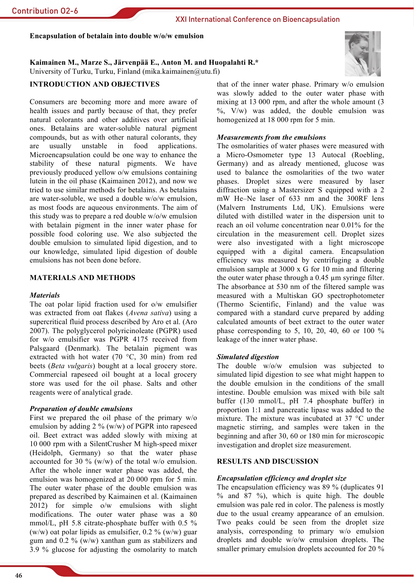Encapsulation of betalain into double w/o/w emulsion

Kaimainen M., Marze S., Järvenpää E., Anton M. and Huopalahti R.\* University of Turku, Turku, Finland (mika.kaimainen@utu.fi)

# **INTRODUCTION AND OBJECTIVES**

Consumers are becoming more and more aware of health issues and partly because of that, they prefer natural colorants and other additives over artificial ones. Betalains are water-soluble natural pigment compounds, but as with other natural colorants, they food are usually unstable  $in$ applications. Microencapsulation could be one way to enhance the stability of these natural pigments. We have previously produced yellow o/w emulsions containing lutein in the oil phase (Kaimainen 2012), and now we tried to use similar methods for betalains. As betalains are water-soluble, we used a double w/o/w emulsion, as most foods are aqueous environments. The aim of this study was to prepare a red double w/o/w emulsion with betalain pigment in the inner water phase for possible food coloring use. We also subjected the double emulsion to simulated lipid digestion, and to our knowledge, simulated lipid digestion of double emulsions has not been done before

# **MATERIALS AND METHODS**

## **Materials**

The oat polar lipid fraction used for o/w emulsifier was extracted from oat flakes (Avena sativa) using a supercritical fluid process described by Aro et al. (Aro 2007). The polyglycerol polyricinoleate (PGPR) used for w/o emulsifier was PGPR 4175 received from Palsgaard (Denmark). The betalain pigment was extracted with hot water (70  $\degree$ C, 30 min) from red beets (Beta vulgaris) bought at a local grocery store. Commercial rapeseed oil bought at a local grocery store was used for the oil phase. Salts and other reagents were of analytical grade.

#### **Preparation of double emulsions**

First we prepared the oil phase of the primary  $w/o$ emulsion by adding 2 % ( $w/w$ ) of PGPR into rapeseed oil. Beet extract was added slowly with mixing at 10 000 rpm with a SilentCrusher M high-speed mixer (Heidolph, Germany) so that the water phase accounted for 30 % ( $w/w$ ) of the total  $w/o$  emulsion. After the whole inner water phase was added, the emulsion was homogenized at 20 000 rpm for 5 min. The outer water phase of the double emulsion was prepared as described by Kaimainen et al. (Kaimainen 2012) for simple o/w emulsions with slight modifications. The outer water phase was a 80 mmol/L, pH 5.8 citrate-phosphate buffer with 0.5 % (w/w) oat polar lipids as emulsifier, 0.2 % (w/w) guar gum and 0.2 % ( $w/w$ ) xanthan gum as stabilizers and 3.9 % glucose for adjusting the osmolarity to match



that of the inner water phase. Primary w/o emulsion was slowly added to the outer water phase with mixing at 13 000 rpm, and after the whole amount (3  $\%$ , V/w) was added, the double emulsion was homogenized at 18 000 rpm for 5 min.

## **Measurements from the emulsions**

The osmolarities of water phases were measured with a Micro-Osmometer type 13 Autocal (Roebling, Germany) and as already mentioned, glucose was used to balance the osmolarities of the two water phases. Droplet sizes were measured by laser diffraction using a Mastersizer S equipped with a 2 mW He-Ne laser of 633 nm and the 300RF lens (Malvern Instruments Ltd, UK). Emulsions were diluted with distilled water in the dispersion unit to reach an oil volume concentration near 0.01% for the circulation in the measurement cell. Droplet sizes were also investigated with a light microscope equipped with a digital camera. Encapsulation efficiency was measured by centrifuging a double emulsion sample at 3000 x G for 10 min and filtering the outer water phase through a 0.45 um syringe filter. The absorbance at 530 nm of the filtered sample was measured with a Multiskan GO spectrophotometer (Thermo Scientific, Finland) and the value was compared with a standard curve prepared by adding calculated amounts of beet extract to the outer water phase corresponding to 5, 10, 20, 40, 60 or 100  $\%$ leakage of the inner water phase.

# **Simulated digestion**

The double w/o/w emulsion was subjected to simulated lipid digestion to see what might happen to the double emulsion in the conditions of the small intestine. Double emulsion was mixed with bile salt buffer (130 mmol/L, pH 7.4 phosphate buffer) in proportion 1:1 and pancreatic lipase was added to the mixture. The mixture was incubated at 37 °C under magnetic stirring, and samples were taken in the beginning and after 30, 60 or 180 min for microscopic investigation and droplet size measurement.

# **RESULTS AND DISCUSSION**

#### **Encapsulation efficiency and droplet size**

The encapsulation efficiency was 89 % (duplicates 91) % and 87 %), which is quite high. The double emulsion was pale red in color. The paleness is mostly due to the usual creamy appearance of an emulsion. Two peaks could be seen from the droplet size analysis, corresponding to primary w/o emulsion droplets and double  $w/o/w$  emulsion droplets. The smaller primary emulsion droplets accounted for 20 %